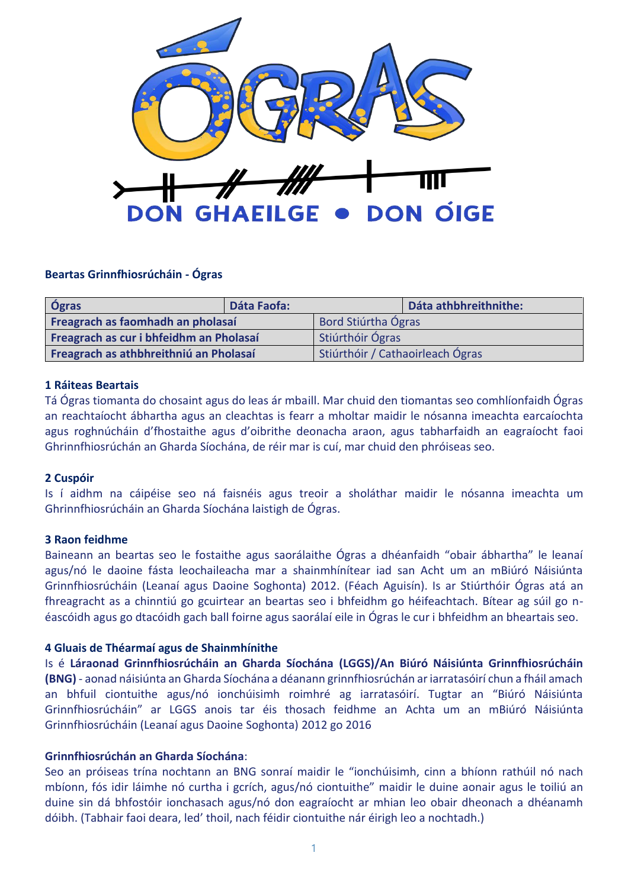

## **Beartas Grinnfhiosrúcháin - Ógras**

| Ógras                                   | Dáta Faofa: |                                  | Dáta athbhreithnithe: |
|-----------------------------------------|-------------|----------------------------------|-----------------------|
| Freagrach as faomhadh an pholasaí       |             | Bord Stiúrtha Ógras              |                       |
| Freagrach as cur i bhfeidhm an Pholasaí |             | Stiúrthóir Ógras                 |                       |
| Freagrach as athbhreithniú an Pholasaí  |             | Stiúrthóir / Cathaoirleach Ógras |                       |

## **1 Ráiteas Beartais**

Tá Ógras tiomanta do chosaint agus do leas ár mbaill. Mar chuid den tiomantas seo comhlíonfaidh Ógras an reachtaíocht ábhartha agus an cleachtas is fearr a mholtar maidir le nósanna imeachta earcaíochta agus roghnúcháin d'fhostaithe agus d'oibrithe deonacha araon, agus tabharfaidh an eagraíocht faoi Ghrinnfhiosrúchán an Gharda Síochána, de réir mar is cuí, mar chuid den phróiseas seo.

# **2 Cuspóir**

Is í aidhm na cáipéise seo ná faisnéis agus treoir a sholáthar maidir le nósanna imeachta um Ghrinnfhiosrúcháin an Gharda Síochána laistigh de Ógras.

## **3 Raon feidhme**

Baineann an beartas seo le fostaithe agus saorálaithe Ógras a dhéanfaidh "obair ábhartha" le leanaí agus/nó le daoine fásta leochaileacha mar a shainmhínítear iad san Acht um an mBiúró Náisiúnta Grinnfhiosrúcháin (Leanaí agus Daoine Soghonta) 2012. (Féach Aguisín). Is ar Stiúrthóir Ógras atá an fhreagracht as a chinntiú go gcuirtear an beartas seo i bhfeidhm go héifeachtach. Bítear ag súil go néascóidh agus go dtacóidh gach ball foirne agus saorálaí eile in Ógras le cur i bhfeidhm an bheartais seo.

## **4 Gluais de Théarmaí agus de Shainmhínithe**

Is é **Láraonad Grinnfhiosrúcháin an Gharda Síochána (LGGS)/An Biúró Náisiúnta Grinnfhiosrúcháin (BNG)** - aonad náisiúnta an Gharda Síochána a déanann grinnfhiosrúchán ar iarratasóirí chun a fháil amach an bhfuil ciontuithe agus/nó ionchúisimh roimhré ag iarratasóirí. Tugtar an "Biúró Náisiúnta Grinnfhiosrúcháin" ar LGGS anois tar éis thosach feidhme an Achta um an mBiúró Náisiúnta Grinnfhiosrúcháin (Leanaí agus Daoine Soghonta) 2012 go 2016

## **Grinnfhiosrúchán an Gharda Síochána**:

Seo an próiseas trína nochtann an BNG sonraí maidir le "ionchúisimh, cinn a bhíonn rathúil nó nach mbíonn, fós idir láimhe nó curtha i gcrích, agus/nó ciontuithe" maidir le duine aonair agus le toiliú an duine sin dá bhfostóir ionchasach agus/nó don eagraíocht ar mhian leo obair dheonach a dhéanamh dóibh. (Tabhair faoi deara, led' thoil, nach féidir ciontuithe nár éirigh leo a nochtadh.)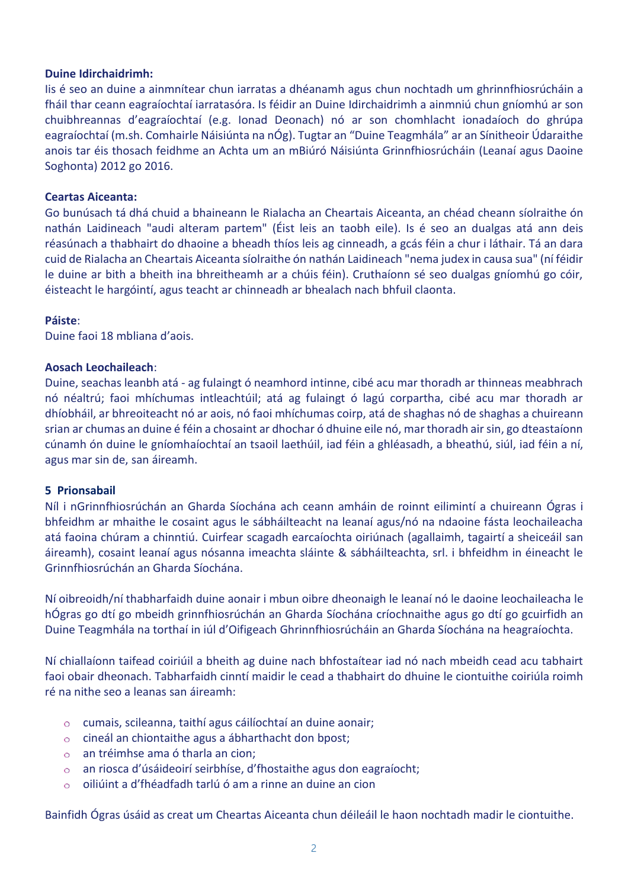### **Duine Idirchaidrimh:**

Iis é seo an duine a ainmnítear chun iarratas a dhéanamh agus chun nochtadh um ghrinnfhiosrúcháin a fháil thar ceann eagraíochtaí iarratasóra. Is féidir an Duine Idirchaidrimh a ainmniú chun gníomhú ar son chuibhreannas d'eagraíochtaí (e.g. Ionad Deonach) nó ar son chomhlacht ionadaíoch do ghrúpa eagraíochtaí (m.sh. Comhairle Náisiúnta na nÓg). Tugtar an "Duine Teagmhála" ar an Sínitheoir Údaraithe anois tar éis thosach feidhme an Achta um an mBiúró Náisiúnta Grinnfhiosrúcháin (Leanaí agus Daoine Soghonta) 2012 go 2016.

#### **Ceartas Aiceanta:**

Go bunúsach tá dhá chuid a bhaineann le Rialacha an Cheartais Aiceanta, an chéad cheann síolraithe ón nathán Laidineach "audi alteram partem" (Éist leis an taobh eile). Is é seo an dualgas atá ann deis réasúnach a thabhairt do dhaoine a bheadh thíos leis ag cinneadh, a gcás féin a chur i láthair. Tá an dara cuid de Rialacha an Cheartais Aiceanta síolraithe ón nathán Laidineach "nema judex in causa sua" (ní féidir le duine ar bith a bheith ina bhreitheamh ar a chúis féin). Cruthaíonn sé seo dualgas gníomhú go cóir, éisteacht le hargóintí, agus teacht ar chinneadh ar bhealach nach bhfuil claonta.

#### **Páiste**:

Duine faoi 18 mbliana d'aois.

#### **Aosach Leochaileach**:

Duine, seachas leanbh atá - ag fulaingt ó neamhord intinne, cibé acu mar thoradh ar thinneas meabhrach nó néaltrú; faoi mhíchumas intleachtúil; atá ag fulaingt ó lagú corpartha, cibé acu mar thoradh ar dhíobháil, ar bhreoiteacht nó ar aois, nó faoi mhíchumas coirp, atá de shaghas nó de shaghas a chuireann srian ar chumas an duine é féin a chosaint ar dhochar ó dhuine eile nó, mar thoradh air sin, go dteastaíonn cúnamh ón duine le gníomhaíochtaí an tsaoil laethúil, iad féin a ghléasadh, a bheathú, siúl, iad féin a ní, agus mar sin de, san áireamh.

#### **5 Prionsabail**

Níl i nGrinnfhiosrúchán an Gharda Síochána ach ceann amháin de roinnt eilimintí a chuireann Ógras i bhfeidhm ar mhaithe le cosaint agus le sábháilteacht na leanaí agus/nó na ndaoine fásta leochaileacha atá faoina chúram a chinntiú. Cuirfear scagadh earcaíochta oiriúnach (agallaimh, tagairtí a sheiceáil san áireamh), cosaint leanaí agus nósanna imeachta sláinte & sábháilteachta, srl. i bhfeidhm in éineacht le Grinnfhiosrúchán an Gharda Síochána.

Ní oibreoidh/ní thabharfaidh duine aonair i mbun oibre dheonaigh le leanaí nó le daoine leochaileacha le hÓgras go dtí go mbeidh grinnfhiosrúchán an Gharda Síochána críochnaithe agus go dtí go gcuirfidh an Duine Teagmhála na torthaí in iúl d'Oifigeach Ghrinnfhiosrúcháin an Gharda Síochána na heagraíochta.

Ní chiallaíonn taifead coiriúil a bheith ag duine nach bhfostaítear iad nó nach mbeidh cead acu tabhairt faoi obair dheonach. Tabharfaidh cinntí maidir le cead a thabhairt do dhuine le ciontuithe coiriúla roimh ré na nithe seo a leanas san áireamh:

- cumais, scileanna, taithí agus cáilíochtaí an duine aonair;
- cineál an chiontaithe agus a ábharthacht don bpost;  $\circ$
- an tréimhse ama ó tharla an cion;  $\circ$
- an riosca d'úsáideoirí seirbhíse, d'fhostaithe agus don eagraíocht;  $\circ$
- oiliúint a d'fhéadfadh tarlú ó am a rinne an duine an cion  $\circ$

Bainfidh Ógras úsáid as creat um Cheartas Aiceanta chun déileáil le haon nochtadh madir le ciontuithe.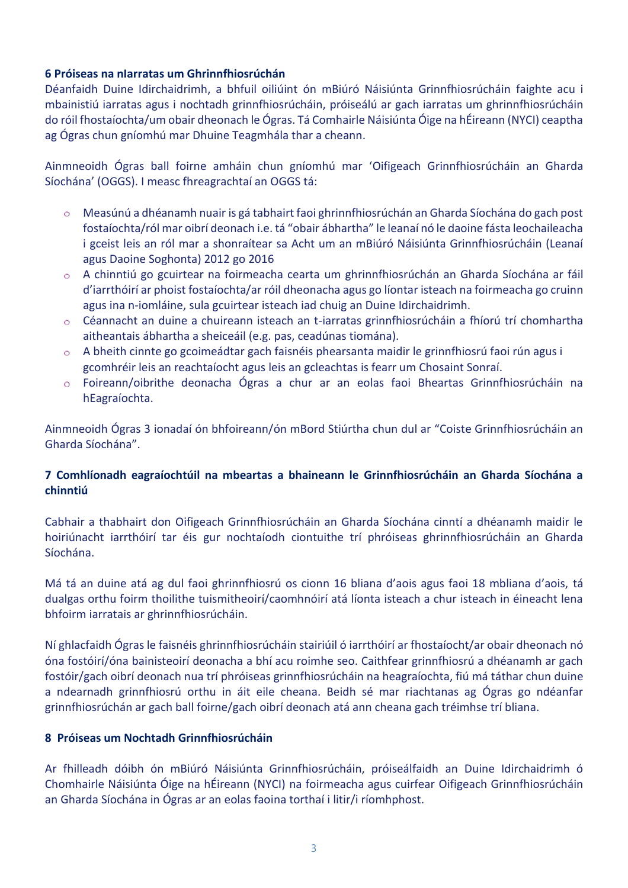# **6 Próiseas na nIarratas um Ghrinnfhiosrúchán**

Déanfaidh Duine Idirchaidrimh, a bhfuil oiliúint ón mBiúró Náisiúnta Grinnfhiosrúcháin faighte acu i mbainistiú iarratas agus i nochtadh grinnfhiosrúcháin, próiseálú ar gach iarratas um ghrinnfhiosrúcháin do róil fhostaíochta/um obair dheonach le Ógras. Tá Comhairle Náisiúnta Óige na hÉireann (NYCI) ceaptha ag Ógras chun gníomhú mar Dhuine Teagmhála thar a cheann.

Ainmneoidh Ógras ball foirne amháin chun gníomhú mar 'Oifigeach Grinnfhiosrúcháin an Gharda Síochána' (OGGS). I measc fhreagrachtaí an OGGS tá:

- Measúnú a dhéanamh nuair is gá tabhairt faoi ghrinnfhiosrúchán an Gharda Síochána do gach post  $\circ$ fostaíochta/ról mar oibrí deonach i.e. tá "obair ábhartha" le leanaí nó le daoine fásta leochaileacha i gceist leis an ról mar a shonraítear sa Acht um an mBiúró Náisiúnta Grinnfhiosrúcháin (Leanaí agus Daoine Soghonta) 2012 go 2016
- A chinntiú go gcuirtear na foirmeacha cearta um ghrinnfhiosrúchán an Gharda Síochána ar fáil  $\circ$ d'iarrthóirí ar phoist fostaíochta/ar róil dheonacha agus go líontar isteach na foirmeacha go cruinn agus ina n-iomláine, sula gcuirtear isteach iad chuig an Duine Idirchaidrimh.
- Céannacht an duine a chuireann isteach an t-iarratas grinnfhiosrúcháin a fhíorú trí chomhartha  $\circ$ aitheantais ábhartha a sheiceáil (e.g. pas, ceadúnas tiomána).
- A bheith cinnte go gcoimeádtar gach faisnéis phearsanta maidir le grinnfhiosrú faoi rún agus i  $\circ$ gcomhréir leis an reachtaíocht agus leis an gcleachtas is fearr um Chosaint Sonraí.
- Foireann/oibrithe deonacha Ógras a chur ar an eolas faoi Bheartas Grinnfhiosrúcháin na  $\circ$ hEagraíochta.

Ainmneoidh Ógras 3 ionadaí ón bhfoireann/ón mBord Stiúrtha chun dul ar "Coiste Grinnfhiosrúcháin an Gharda Síochána".

# **7 Comhlíonadh eagraíochtúil na mbeartas a bhaineann le Grinnfhiosrúcháin an Gharda Síochána a chinntiú**

Cabhair a thabhairt don Oifigeach Grinnfhiosrúcháin an Gharda Síochána cinntí a dhéanamh maidir le hoiriúnacht iarrthóirí tar éis gur nochtaíodh ciontuithe trí phróiseas ghrinnfhiosrúcháin an Gharda Síochána.

Má tá an duine atá ag dul faoi ghrinnfhiosrú os cionn 16 bliana d'aois agus faoi 18 mbliana d'aois, tá dualgas orthu foirm thoilithe tuismitheoirí/caomhnóirí atá líonta isteach a chur isteach in éineacht lena bhfoirm iarratais ar ghrinnfhiosrúcháin.

Ní ghlacfaidh Ógras le faisnéis ghrinnfhiosrúcháin stairiúil ó iarrthóirí ar fhostaíocht/ar obair dheonach nó óna fostóirí/óna bainisteoirí deonacha a bhí acu roimhe seo. Caithfear grinnfhiosrú a dhéanamh ar gach fostóir/gach oibrí deonach nua trí phróiseas grinnfhiosrúcháin na heagraíochta, fiú má táthar chun duine a ndearnadh grinnfhiosrú orthu in áit eile cheana. Beidh sé mar riachtanas ag Ógras go ndéanfar grinnfhiosrúchán ar gach ball foirne/gach oibrí deonach atá ann cheana gach tréimhse trí bliana.

# **8 Próiseas um Nochtadh Grinnfhiosrúcháin**

Ar fhilleadh dóibh ón mBiúró Náisiúnta Grinnfhiosrúcháin, próiseálfaidh an Duine Idirchaidrimh ó Chomhairle Náisiúnta Óige na hÉireann (NYCI) na foirmeacha agus cuirfear Oifigeach Grinnfhiosrúcháin an Gharda Síochána in Ógras ar an eolas faoina torthaí i litir/i ríomhphost.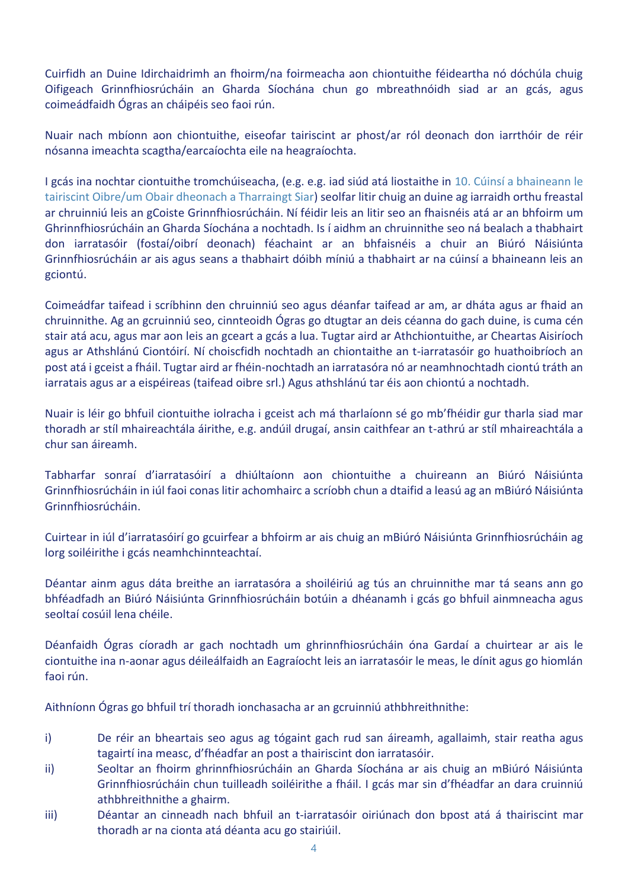Cuirfidh an Duine Idirchaidrimh an fhoirm/na foirmeacha aon chiontuithe féideartha nó dóchúla chuig Oifigeach Grinnfhiosrúcháin an Gharda Síochána chun go mbreathnóidh siad ar an gcás, agus coimeádfaidh Ógras an cháipéis seo faoi rún.

Nuair nach mbíonn aon chiontuithe, eiseofar tairiscint ar phost/ar ról deonach don iarrthóir de réir nósanna imeachta scagtha/earcaíochta eile na heagraíochta.

I gcás ina nochtar ciontuithe tromchúiseacha, (e.g. e.g. iad siúd atá liostaithe in 10. Cúinsí a bhaineann le tairiscint Oibre/um Obair dheonach a Tharraingt Siar) seolfar litir chuig an duine ag iarraidh orthu freastal ar chruinniú leis an gCoiste Grinnfhiosrúcháin. Ní féidir leis an litir seo an fhaisnéis atá ar an bhfoirm um Ghrinnfhiosrúcháin an Gharda Síochána a nochtadh. Is í aidhm an chruinnithe seo ná bealach a thabhairt don iarratasóir (fostaí/oibrí deonach) féachaint ar an bhfaisnéis a chuir an Biúró Náisiúnta Grinnfhiosrúcháin ar ais agus seans a thabhairt dóibh míniú a thabhairt ar na cúinsí a bhaineann leis an gciontú.

Coimeádfar taifead i scríbhinn den chruinniú seo agus déanfar taifead ar am, ar dháta agus ar fhaid an chruinnithe. Ag an gcruinniú seo, cinnteoidh Ógras go dtugtar an deis céanna do gach duine, is cuma cén stair atá acu, agus mar aon leis an gceart a gcás a lua. Tugtar aird ar Athchiontuithe, ar Cheartas Aisiríoch agus ar Athshlánú Ciontóirí. Ní choiscfidh nochtadh an chiontaithe an t-iarratasóir go huathoibríoch an post atá i gceist a fháil. Tugtar aird ar fhéin-nochtadh an iarratasóra nó ar neamhnochtadh ciontú tráth an iarratais agus ar a eispéireas (taifead oibre srl.) Agus athshlánú tar éis aon chiontú a nochtadh.

Nuair is léir go bhfuil ciontuithe iolracha i gceist ach má tharlaíonn sé go mb'fhéidir gur tharla siad mar thoradh ar stíl mhaireachtála áirithe, e.g. andúil drugaí, ansin caithfear an t-athrú ar stíl mhaireachtála a chur san áireamh.

Tabharfar sonraí d'iarratasóirí a dhiúltaíonn aon chiontuithe a chuireann an Biúró Náisiúnta Grinnfhiosrúcháin in iúl faoi conas litir achomhairc a scríobh chun a dtaifid a leasú ag an mBiúró Náisiúnta Grinnfhiosrúcháin.

Cuirtear in iúl d'iarratasóirí go gcuirfear a bhfoirm ar ais chuig an mBiúró Náisiúnta Grinnfhiosrúcháin ag lorg soiléirithe i gcás neamhchinnteachtaí.

Déantar ainm agus dáta breithe an iarratasóra a shoiléiriú ag tús an chruinnithe mar tá seans ann go bhféadfadh an Biúró Náisiúnta Grinnfhiosrúcháin botúin a dhéanamh i gcás go bhfuil ainmneacha agus seoltaí cosúil lena chéile.

Déanfaidh Ógras cíoradh ar gach nochtadh um ghrinnfhiosrúcháin óna Gardaí a chuirtear ar ais le ciontuithe ina n-aonar agus déileálfaidh an Eagraíocht leis an iarratasóir le meas, le dínit agus go hiomlán faoi rún.

Aithníonn Ógras go bhfuil trí thoradh ionchasacha ar an gcruinniú athbhreithnithe:

- i) De réir an bheartais seo agus ag tógaint gach rud san áireamh, agallaimh, stair reatha agus tagairtí ina measc, d'fhéadfar an post a thairiscint don iarratasóir.
- ii) Seoltar an fhoirm ghrinnfhiosrúcháin an Gharda Síochána ar ais chuig an mBiúró Náisiúnta Grinnfhiosrúcháin chun tuilleadh soiléirithe a fháil. I gcás mar sin d'fhéadfar an dara cruinniú athbhreithnithe a ghairm.
- iii) Déantar an cinneadh nach bhfuil an t-iarratasóir oiriúnach don bpost atá á thairiscint mar thoradh ar na cionta atá déanta acu go stairiúil.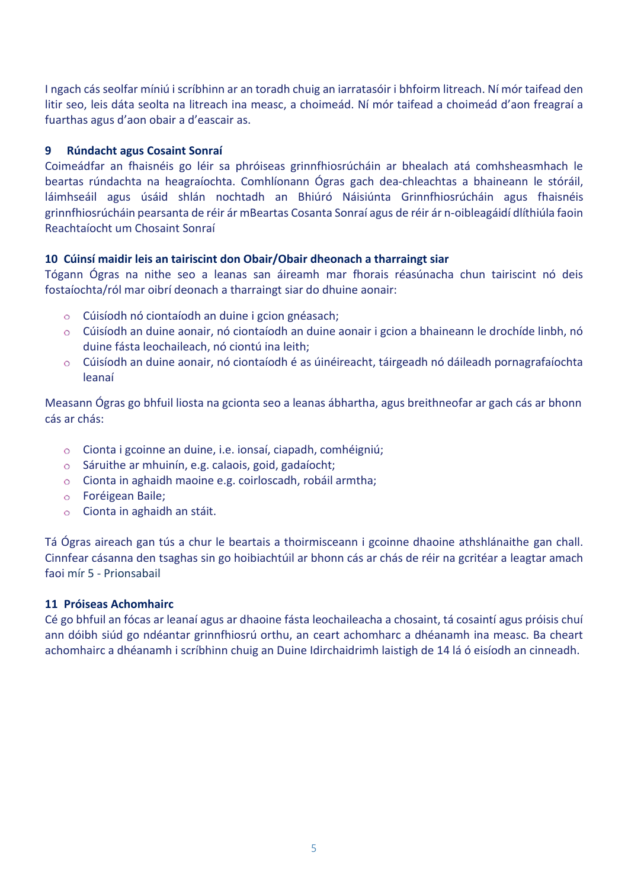I ngach cás seolfar míniú i scríbhinn ar an toradh chuig an iarratasóir i bhfoirm litreach. Ní mór taifead den litir seo, leis dáta seolta na litreach ina measc, a choimeád. Ní mór taifead a choimeád d'aon freagraí a fuarthas agus d'aon obair a d'eascair as.

## **9 Rúndacht agus Cosaint Sonraí**

Coimeádfar an fhaisnéis go léir sa phróiseas grinnfhiosrúcháin ar bhealach atá comhsheasmhach le beartas rúndachta na heagraíochta. Comhlíonann Ógras gach dea-chleachtas a bhaineann le stóráil, láimhseáil agus úsáid shlán nochtadh an Bhiúró Náisiúnta Grinnfhiosrúcháin agus fhaisnéis grinnfhiosrúcháin pearsanta de réir ár mBeartas Cosanta Sonraí agus de réir ár n-oibleagáidí dlíthiúla faoin Reachtaíocht um Chosaint Sonraí

## **10 Cúinsí maidir leis an tairiscint don Obair/Obair dheonach a tharraingt siar**

Tógann Ógras na nithe seo a leanas san áireamh mar fhorais réasúnacha chun tairiscint nó deis fostaíochta/ról mar oibrí deonach a tharraingt siar do dhuine aonair:

- Cúisíodh nó ciontaíodh an duine i gcion gnéasach;
- Cúisíodh an duine aonair, nó ciontaíodh an duine aonair i gcion a bhaineann le drochíde linbh, nó duine fásta leochaileach, nó ciontú ina leith;
- Cúisíodh an duine aonair, nó ciontaíodh é as úinéireacht, táirgeadh nó dáileadh pornagrafaíochta leanaí

Measann Ógras go bhfuil liosta na gcionta seo a leanas ábhartha, agus breithneofar ar gach cás ar bhonn cás ar chás:

- $\circ$ Cionta i gcoinne an duine, i.e. ionsaí, ciapadh, comhéigniú;
- Sáruithe ar mhuinín, e.g. calaois, goid, gadaíocht;  $\circ$
- Cionta in aghaidh maoine e.g. coirloscadh, robáil armtha;
- Foréigean Baile;
- Cionta in aghaidh an stáit.

Tá Ógras aireach gan tús a chur le beartais a thoirmisceann i gcoinne dhaoine athshlánaithe gan chall. Cinnfear cásanna den tsaghas sin go hoibiachtúil ar bhonn cás ar chás de réir na gcritéar a leagtar amach faoi mír 5 - Prionsabail

## **11 Próiseas Achomhairc**

Cé go bhfuil an fócas ar leanaí agus ar dhaoine fásta leochaileacha a chosaint, tá cosaintí agus próisis chuí ann dóibh siúd go ndéantar grinnfhiosrú orthu, an ceart achomharc a dhéanamh ina measc. Ba cheart achomhairc a dhéanamh i scríbhinn chuig an Duine Idirchaidrimh laistigh de 14 lá ó eisíodh an cinneadh.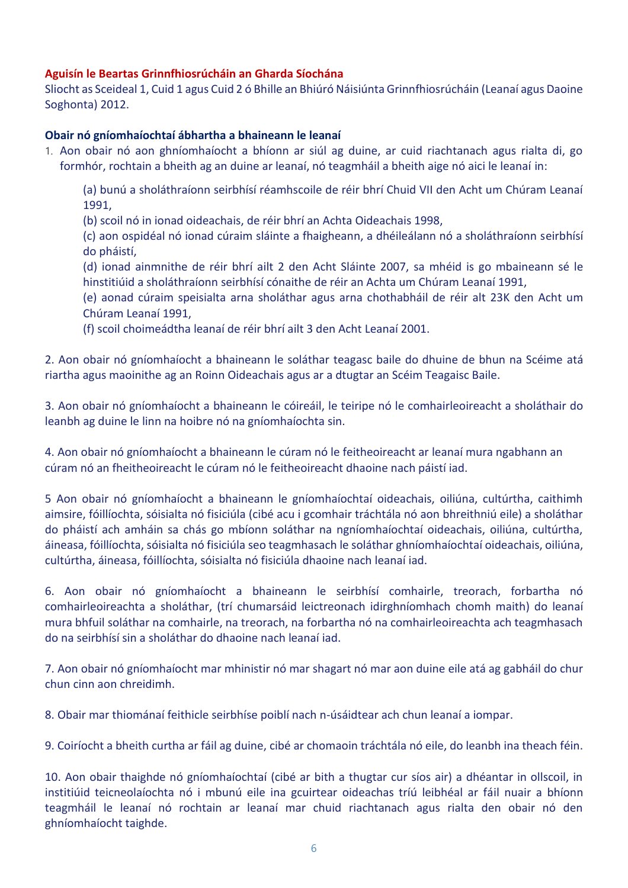# **Aguisín le Beartas Grinnfhiosrúcháin an Gharda Síochána**

Sliocht as Sceideal 1, Cuid 1 agus Cuid 2 ó Bhille an Bhiúró Náisiúnta Grinnfhiosrúcháin (Leanaí agus Daoine Soghonta) 2012.

### **Obair nó gníomhaíochtaí ábhartha a bhaineann le leanaí**

1. Aon obair nó aon ghníomhaíocht a bhíonn ar siúl ag duine, ar cuid riachtanach agus rialta di, go formhór, rochtain a bheith ag an duine ar leanaí, nó teagmháil a bheith aige nó aici le leanaí in:

(a) bunú a sholáthraíonn seirbhísí réamhscoile de réir bhrí Chuid VII den Acht um Chúram Leanaí 1991,

(b) scoil nó in ionad oideachais, de réir bhrí an Achta Oideachais 1998,

(c) aon ospidéal nó ionad cúraim sláinte a fhaigheann, a dhéileálann nó a sholáthraíonn seirbhísí do pháistí,

(d) ionad ainmnithe de réir bhrí ailt 2 den Acht Sláinte 2007, sa mhéid is go mbaineann sé le hinstitiúid a sholáthraíonn seirbhísí cónaithe de réir an Achta um Chúram Leanaí 1991,

(e) aonad cúraim speisialta arna sholáthar agus arna chothabháil de réir alt 23K den Acht um Chúram Leanaí 1991,

(f) scoil choimeádtha leanaí de réir bhrí ailt 3 den Acht Leanaí 2001.

2. Aon obair nó gníomhaíocht a bhaineann le soláthar teagasc baile do dhuine de bhun na Scéime atá riartha agus maoinithe ag an Roinn Oideachais agus ar a dtugtar an Scéim Teagaisc Baile.

3. Aon obair nó gníomhaíocht a bhaineann le cóireáil, le teiripe nó le comhairleoireacht a sholáthair do leanbh ag duine le linn na hoibre nó na gníomhaíochta sin.

4. Aon obair nó gníomhaíocht a bhaineann le cúram nó le feitheoireacht ar leanaí mura ngabhann an cúram nó an fheitheoireacht le cúram nó le feitheoireacht dhaoine nach páistí iad.

5 Aon obair nó gníomhaíocht a bhaineann le gníomhaíochtaí oideachais, oiliúna, cultúrtha, caithimh aimsire, fóillíochta, sóisialta nó fisiciúla (cibé acu i gcomhair tráchtála nó aon bhreithniú eile) a sholáthar do pháistí ach amháin sa chás go mbíonn soláthar na ngníomhaíochtaí oideachais, oiliúna, cultúrtha, áineasa, fóillíochta, sóisialta nó fisiciúla seo teagmhasach le soláthar ghníomhaíochtaí oideachais, oiliúna, cultúrtha, áineasa, fóillíochta, sóisialta nó fisiciúla dhaoine nach leanaí iad.

6. Aon obair nó gníomhaíocht a bhaineann le seirbhísí comhairle, treorach, forbartha nó comhairleoireachta a sholáthar, (trí chumarsáid leictreonach idirghníomhach chomh maith) do leanaí mura bhfuil soláthar na comhairle, na treorach, na forbartha nó na comhairleoireachta ach teagmhasach do na seirbhísí sin a sholáthar do dhaoine nach leanaí iad.

7. Aon obair nó gníomhaíocht mar mhinistir nó mar shagart nó mar aon duine eile atá ag gabháil do chur chun cinn aon chreidimh.

8. Obair mar thiománaí feithicle seirbhíse poiblí nach n-úsáidtear ach chun leanaí a iompar.

9. Coiríocht a bheith curtha ar fáil ag duine, cibé ar chomaoin tráchtála nó eile, do leanbh ina theach féin.

10. Aon obair thaighde nó gníomhaíochtaí (cibé ar bith a thugtar cur síos air) a dhéantar in ollscoil, in institiúid teicneolaíochta nó i mbunú eile ina gcuirtear oideachas tríú leibhéal ar fáil nuair a bhíonn teagmháil le leanaí nó rochtain ar leanaí mar chuid riachtanach agus rialta den obair nó den ghníomhaíocht taighde.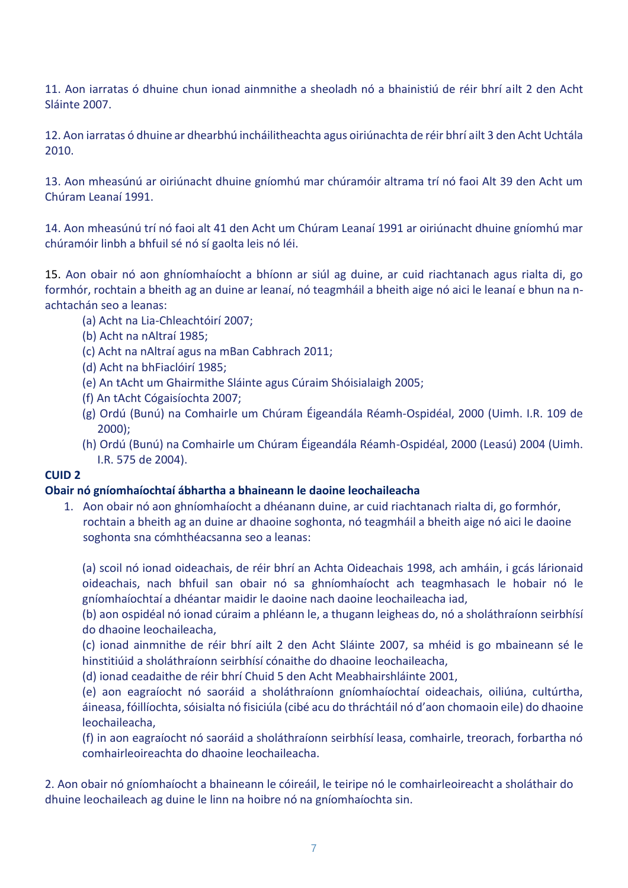11. Aon iarratas ó dhuine chun ionad ainmnithe a sheoladh nó a bhainistiú de réir bhrí ailt 2 den Acht Sláinte 2007.

12. Aon iarratas ó dhuine ar dhearbhú incháilitheachta agus oiriúnachta de réir bhrí ailt 3 den Acht Uchtála 2010.

13. Aon mheasúnú ar oiriúnacht dhuine gníomhú mar chúramóir altrama trí nó faoi Alt 39 den Acht um Chúram Leanaí 1991.

14. Aon mheasúnú trí nó faoi alt 41 den Acht um Chúram Leanaí 1991 ar oiriúnacht dhuine gníomhú mar chúramóir linbh a bhfuil sé nó sí gaolta leis nó léi.

15. Aon obair nó aon ghníomhaíocht a bhíonn ar siúl ag duine, ar cuid riachtanach agus rialta di, go formhór, rochtain a bheith ag an duine ar leanaí, nó teagmháil a bheith aige nó aici le leanaí e bhun na nachtachán seo a leanas:

- (a) Acht na Lia-Chleachtóirí 2007;
- (b) Acht na nAltraí 1985;
- (c) Acht na nAltraí agus na mBan Cabhrach 2011;
- (d) Acht na bhFiaclóirí 1985;
- (e) An tAcht um Ghairmithe Sláinte agus Cúraim Shóisialaigh 2005;
- (f) An tAcht Cógaisíochta 2007;
- (g) Ordú (Bunú) na Comhairle um Chúram Éigeandála Réamh-Ospidéal, 2000 (Uimh. I.R. 109 de 2000);
- (h) Ordú (Bunú) na Comhairle um Chúram Éigeandála Réamh-Ospidéal, 2000 (Leasú) 2004 (Uimh. I.R. 575 de 2004).

## **CUID 2**

## **Obair nó gníomhaíochtaí ábhartha a bhaineann le daoine leochaileacha**

1. Aon obair nó aon ghníomhaíocht a dhéanann duine, ar cuid riachtanach rialta di, go formhór, rochtain a bheith ag an duine ar dhaoine soghonta, nó teagmháil a bheith aige nó aici le daoine soghonta sna cómhthéacsanna seo a leanas:

(a) scoil nó ionad oideachais, de réir bhrí an Achta Oideachais 1998, ach amháin, i gcás lárionaid oideachais, nach bhfuil san obair nó sa ghníomhaíocht ach teagmhasach le hobair nó le gníomhaíochtaí a dhéantar maidir le daoine nach daoine leochaileacha iad,

(b) aon ospidéal nó ionad cúraim a phléann le, a thugann leigheas do, nó a sholáthraíonn seirbhísí do dhaoine leochaileacha,

(c) ionad ainmnithe de réir bhrí ailt 2 den Acht Sláinte 2007, sa mhéid is go mbaineann sé le hinstitiúid a sholáthraíonn seirbhísí cónaithe do dhaoine leochaileacha,

(d) ionad ceadaithe de réir bhrí Chuid 5 den Acht Meabhairshláinte 2001,

(e) aon eagraíocht nó saoráid a sholáthraíonn gníomhaíochtaí oideachais, oiliúna, cultúrtha, áineasa, fóillíochta, sóisialta nó fisiciúla (cibé acu do thráchtáil nó d'aon chomaoin eile) do dhaoine leochaileacha,

(f) in aon eagraíocht nó saoráid a sholáthraíonn seirbhísí leasa, comhairle, treorach, forbartha nó comhairleoireachta do dhaoine leochaileacha.

2. Aon obair nó gníomhaíocht a bhaineann le cóireáil, le teiripe nó le comhairleoireacht a sholáthair do dhuine leochaileach ag duine le linn na hoibre nó na gníomhaíochta sin.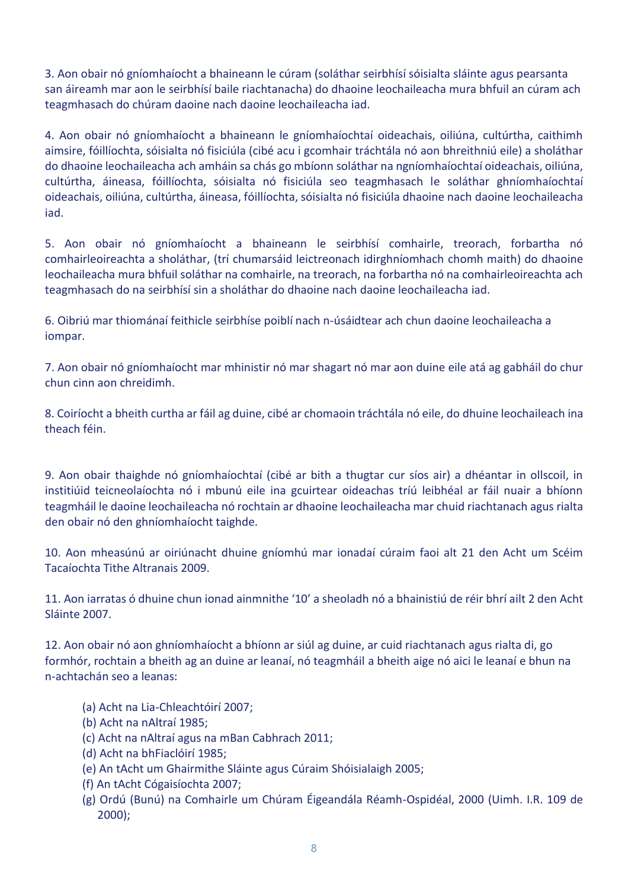3. Aon obair nó gníomhaíocht a bhaineann le cúram (soláthar seirbhísí sóisialta sláinte agus pearsanta san áireamh mar aon le seirbhísí baile riachtanacha) do dhaoine leochaileacha mura bhfuil an cúram ach teagmhasach do chúram daoine nach daoine leochaileacha iad.

4. Aon obair nó gníomhaíocht a bhaineann le gníomhaíochtaí oideachais, oiliúna, cultúrtha, caithimh aimsire, fóillíochta, sóisialta nó fisiciúla (cibé acu i gcomhair tráchtála nó aon bhreithniú eile) a sholáthar do dhaoine leochaileacha ach amháin sa chás go mbíonn soláthar na ngníomhaíochtaí oideachais, oiliúna, cultúrtha, áineasa, fóillíochta, sóisialta nó fisiciúla seo teagmhasach le soláthar ghníomhaíochtaí oideachais, oiliúna, cultúrtha, áineasa, fóillíochta, sóisialta nó fisiciúla dhaoine nach daoine leochaileacha iad.

5. Aon obair nó gníomhaíocht a bhaineann le seirbhísí comhairle, treorach, forbartha nó comhairleoireachta a sholáthar, (trí chumarsáid leictreonach idirghníomhach chomh maith) do dhaoine leochaileacha mura bhfuil soláthar na comhairle, na treorach, na forbartha nó na comhairleoireachta ach teagmhasach do na seirbhísí sin a sholáthar do dhaoine nach daoine leochaileacha iad.

6. Oibriú mar thiománaí feithicle seirbhíse poiblí nach n-úsáidtear ach chun daoine leochaileacha a iompar.

7. Aon obair nó gníomhaíocht mar mhinistir nó mar shagart nó mar aon duine eile atá ag gabháil do chur chun cinn aon chreidimh.

8. Coiríocht a bheith curtha ar fáil ag duine, cibé ar chomaoin tráchtála nó eile, do dhuine leochaileach ina theach féin.

9. Aon obair thaighde nó gníomhaíochtaí (cibé ar bith a thugtar cur síos air) a dhéantar in ollscoil, in institiúid teicneolaíochta nó i mbunú eile ina gcuirtear oideachas tríú leibhéal ar fáil nuair a bhíonn teagmháil le daoine leochaileacha nó rochtain ar dhaoine leochaileacha mar chuid riachtanach agus rialta den obair nó den ghníomhaíocht taighde.

10. Aon mheasúnú ar oiriúnacht dhuine gníomhú mar ionadaí cúraim faoi alt 21 den Acht um Scéim Tacaíochta Tithe Altranais 2009.

11. Aon iarratas ó dhuine chun ionad ainmnithe '10' a sheoladh nó a bhainistiú de réir bhrí ailt 2 den Acht Sláinte 2007.

12. Aon obair nó aon ghníomhaíocht a bhíonn ar siúl ag duine, ar cuid riachtanach agus rialta di, go formhór, rochtain a bheith ag an duine ar leanaí, nó teagmháil a bheith aige nó aici le leanaí e bhun na n-achtachán seo a leanas:

- (a) Acht na Lia-Chleachtóirí 2007;
- (b) Acht na nAltraí 1985;
- (c) Acht na nAltraí agus na mBan Cabhrach 2011;
- (d) Acht na bhFiaclóirí 1985;
- (e) An tAcht um Ghairmithe Sláinte agus Cúraim Shóisialaigh 2005;
- (f) An tAcht Cógaisíochta 2007;
- (g) Ordú (Bunú) na Comhairle um Chúram Éigeandála Réamh-Ospidéal, 2000 (Uimh. I.R. 109 de 2000);